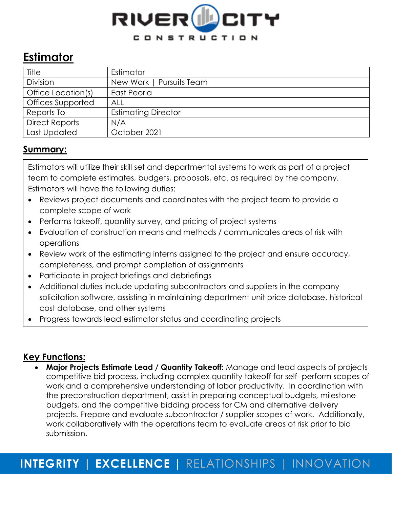

## **Estimator**

| Title                 | Estimator                  |
|-----------------------|----------------------------|
| <b>Division</b>       | New Work   Pursuits Team   |
| Office Location(s)    | East Peoria                |
| Offices Supported     | ALL                        |
| Reports To            | <b>Estimating Director</b> |
| <b>Direct Reports</b> | N/A                        |
| Last Updated          | October 2021               |

### **Summary:**

Estimators will utilize their skill set and departmental systems to work as part of a project team to complete estimates, budgets, proposals, etc. as required by the company. Estimators will have the following duties:

- Reviews project documents and coordinates with the project team to provide a complete scope of work
- Performs takeoff, quantity survey, and pricing of project systems
- Evaluation of construction means and methods / communicates areas of risk with operations
- Review work of the estimating interns assigned to the project and ensure accuracy, completeness, and prompt completion of assignments
- Participate in project briefings and debriefings
- Additional duties include updating subcontractors and suppliers in the company solicitation software, assisting in maintaining department unit price database, historical cost database, and other systems
- Progress towards lead estimator status and coordinating projects

#### **Key Functions:**

• **Major Projects Estimate Lead / Quantity Takeoff:** Manage and lead aspects of projects competitive bid process, including complex quantity takeoff for self- perform scopes of work and a comprehensive understanding of labor productivity. In coordination with the preconstruction department, assist in preparing conceptual budgets, milestone budgets, and the competitive bidding process for CM and alternative delivery projects. Prepare and evaluate subcontractor / supplier scopes of work. Additionally, work collaboratively with the operations team to evaluate areas of risk prior to bid submission.

## **INTEGRITY | EXCELLENCE |** RELATIONSHIPS | INNOVATION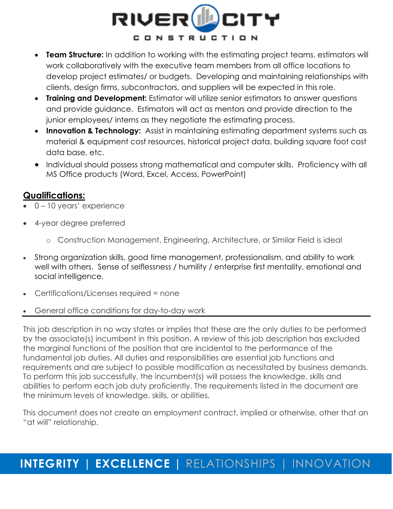

- **Team Structure:** In addition to working with the estimating project teams, estimators will work collaboratively with the executive team members from all office locations to develop project estimates/ or budgets. Developing and maintaining relationships with clients, design firms, subcontractors, and suppliers will be expected in this role.
- **Training and Development:** Estimator will utilize senior estimators to answer questions and provide guidance. Estimators will act as mentors and provide direction to the junior employees/ interns as they negotiate the estimating process.
- **Innovation & Technology:** Assist in maintaining estimating department systems such as material & equipment cost resources, historical project data, building square foot cost data base, etc.
- Individual should possess strong mathematical and computer skills. Proficiency with all MS Office products (Word, Excel, Access, PowerPoint)

#### **Qualifications:**

- 0 10 years' experience
- 4-year degree preferred
	- o Construction Management, Engineering, Architecture, or Similar Field is ideal
- Strong organization skills, good time management, professionalism, and ability to work well with others. Sense of selflessness / humility / enterprise first mentality, emotional and social intelligence.
- Certifications/Licenses required = none
- General office conditions for day-to-day work

This job description in no way states or implies that these are the only duties to be performed by the associate(s) incumbent in this position. A review of this job description has excluded the marginal functions of the position that are incidental to the performance of the fundamental job duties. All duties and responsibilities are essential job functions and requirements and are subject to possible modification as necessitated by business demands. To perform this job successfully, the incumbent(s) will possess the knowledge, skills and abilities to perform each job duty proficiently. The requirements listed in the document are the minimum levels of knowledge, skills, or abilities.

This document does not create an employment contract, implied or otherwise, other that an "at will" relationship.

# **INTEGRITY | EXCELLENCE |** RELATIONSHIPS | INNOVATION